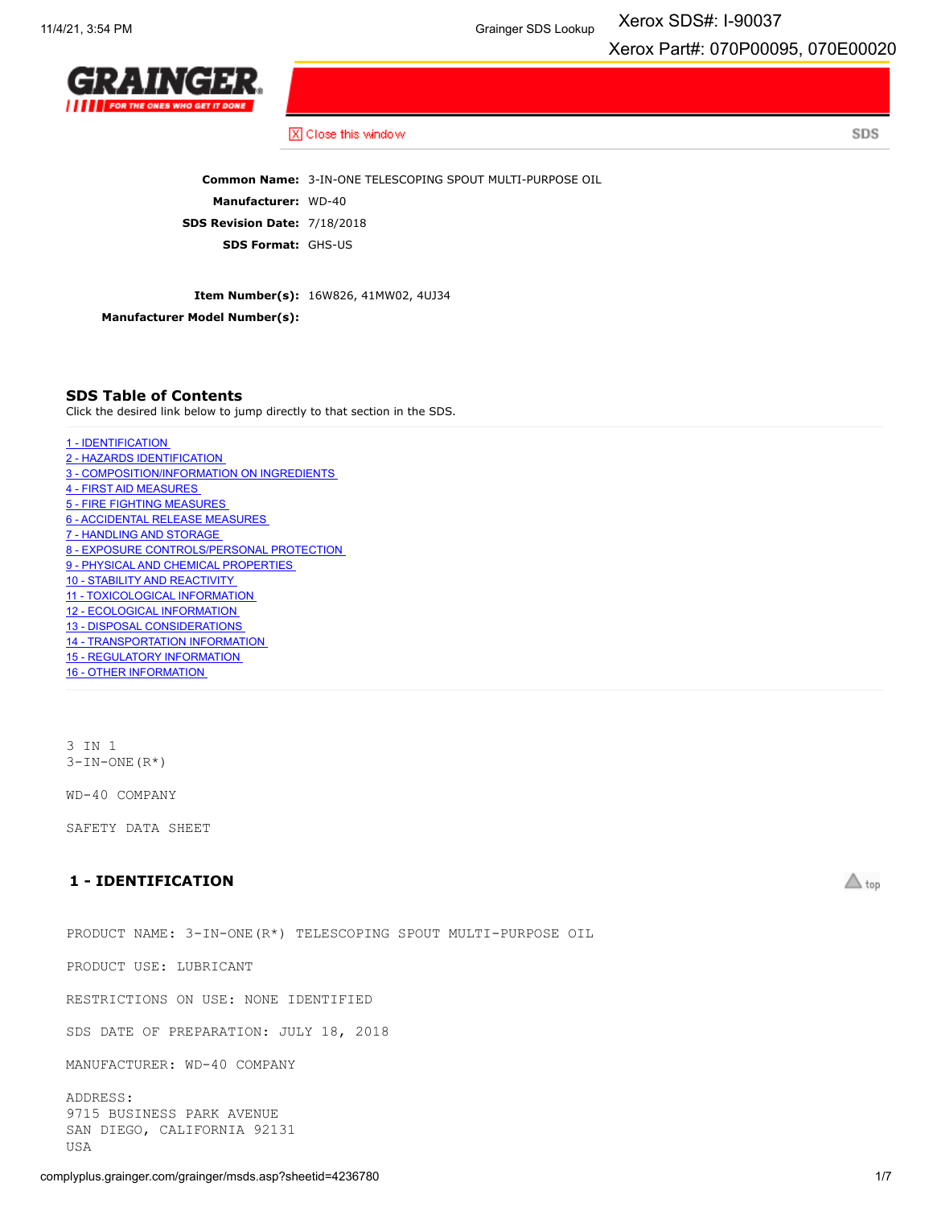Xerox SDS#: I-90037

Xerox Part#: 070P00095, 070E00020

SDS



X Close this window

**Common Name:** 3-IN-ONE TELESCOPING SPOUT MULTI-PURPOSE OIL **Manufacturer:** WD-40 **SDS Revision Date:** 7/18/2018 **SDS Format:** GHS-US

**Item Number(s):** 16W826, 41MW02, 4UJ34

**Manufacturer Model Number(s):**

#### **SDS Table of Contents**

Click the desired link below to jump directly to that section in the SDS.

- 1 [IDENTIFICATION](#page-0-0)
- 2 HAZARDS [IDENTIFICATION](#page-1-0)
- 3 [COMPOSITION/INFORMATION](#page-1-1) ON INGREDIENTS
- 4 FIRST AID [MEASURES](#page-1-2)
- 5 FIRE FIGHTING [MEASURES](#page-2-0)
- 6 [ACCIDENTAL](#page-2-1) RELEASE MEASURES
- 7 [HANDLING](#page-2-2) AND STORAGE
- 8 EXPOSURE [CONTROLS/PERSONAL](#page-2-3) PROTECTION
- 9 PHYSICAL AND CHEMICAL [PROPERTIES](#page-3-0)
- 10 STABILITY AND [REACTIVITY](#page-4-0)
- 11 [TOXICOLOGICAL](#page-4-1) INFORMATION
- 12 ECOLOGICAL [INFORMATION](#page-4-2)
- 13 DISPOSAL [CONSIDERATIONS](#page-5-0)
- 14 [TRANSPORTATION](#page-5-1) INFORMATION
- 15 REGULATORY [INFORMATION](#page-5-2)
- 16 OTHER [INFORMATION](#page-6-0)

3 IN 1  $3-IN-ONE(R<sup>*</sup>)$ 

WD-40 COMPANY

SAFETY DATA SHEET

# <span id="page-0-0"></span>**1 - IDENTIFICATION**

PRODUCT NAME: 3-IN-ONE(R\*) TELESCOPING SPOUT MULTI-PURPOSE OIL

PRODUCT USE: LUBRICANT

RESTRICTIONS ON USE: NONE IDENTIFIED

SDS DATE OF PREPARATION: JULY 18, 2018

MANUFACTURER: WD-40 COMPANY

ADDRESS: 9715 BUSINESS PARK AVENUE SAN DIEGO, CALIFORNIA 92131 USA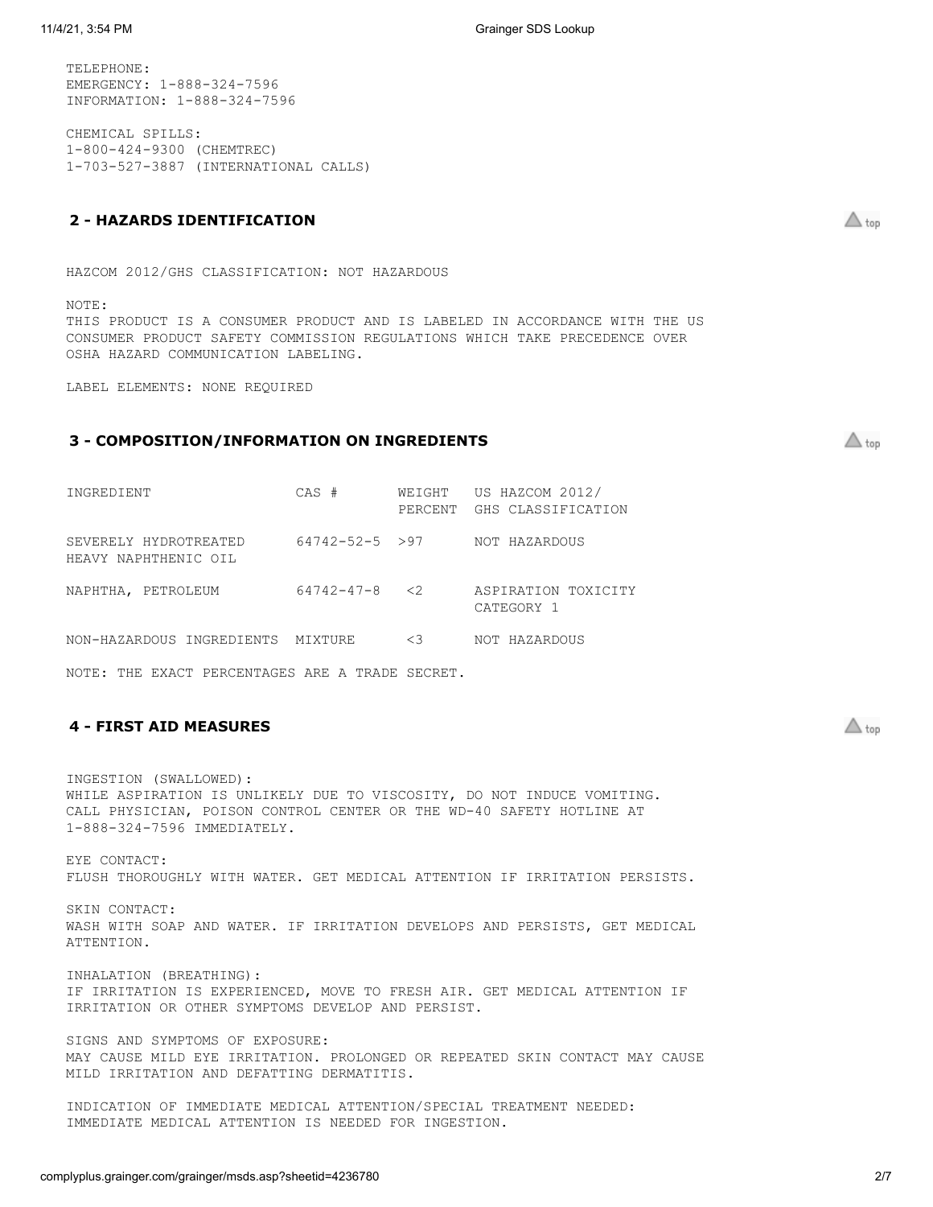TELEPHONE: EMERGENCY: 1-888-324-7596 INFORMATION: 1-888-324-7596

CHEMICAL SPILLS: 1-800-424-9300 (CHEMTREC) 1-703-527-3887 (INTERNATIONAL CALLS)

# <span id="page-1-0"></span>**2 - HAZARDS IDENTIFICATION**

HAZCOM 2012/GHS CLASSIFICATION: NOT HAZARDOUS

NOTE:

THIS PRODUCT IS A CONSUMER PRODUCT AND IS LABELED IN ACCORDANCE WITH THE US CONSUMER PRODUCT SAFETY COMMISSION REGULATIONS WHICH TAKE PRECEDENCE OVER OSHA HAZARD COMMUNICATION LABELING.

LABEL ELEMENTS: NONE REQUIRED

# <span id="page-1-1"></span>**3 - COMPOSITION/INFORMATION ON INGREDIENTS**

| INGREDIENT                                    | $CAS$ #               | PERCENT  | WEIGHT US HAZCOM 2012/<br>GHS CLASSIFICATION |
|-----------------------------------------------|-----------------------|----------|----------------------------------------------|
| SEVERELY HYDROTREATED<br>HEAVY NAPHTHENIC OIL | $64742 - 52 - 5 > 97$ |          | NOT HAZARDOUS                                |
| NAPHTHA, PETROLEUM                            | $64742 - 47 - 8 < 2$  |          | ASPIRATION TOXICITY<br>CATEGORY 1            |
| NON-HAZARDOUS INGREDIENTS                     | MIXTURE               | $\leq$ 3 | NOT HAZARDOUS                                |

NOTE: THE EXACT PERCENTAGES ARE A TRADE SECRET.

## <span id="page-1-2"></span>**4 - FIRST AID MEASURES**

INGESTION (SWALLOWED): WHILE ASPIRATION IS UNLIKELY DUE TO VISCOSITY, DO NOT INDUCE VOMITING. CALL PHYSICIAN, POISON CONTROL CENTER OR THE WD-40 SAFETY HOTLINE AT 1-888-324-7596 IMMEDIATELY.

EYE CONTACT: FLUSH THOROUGHLY WITH WATER. GET MEDICAL ATTENTION IF IRRITATION PERSISTS.

SKIN CONTACT: WASH WITH SOAP AND WATER. IF IRRITATION DEVELOPS AND PERSISTS, GET MEDICAL ATTENTION.

INHALATION (BREATHING): IF IRRITATION IS EXPERIENCED, MOVE TO FRESH AIR. GET MEDICAL ATTENTION IF IRRITATION OR OTHER SYMPTOMS DEVELOP AND PERSIST.

SIGNS AND SYMPTOMS OF EXPOSURE: MAY CAUSE MILD EYE IRRITATION. PROLONGED OR REPEATED SKIN CONTACT MAY CAUSE MILD IRRITATION AND DEFATTING DERMATITIS.

INDICATION OF IMMEDIATE MEDICAL ATTENTION/SPECIAL TREATMENT NEEDED: IMMEDIATE MEDICAL ATTENTION IS NEEDED FOR INGESTION.

 $\triangle$  top

 $\triangle$  top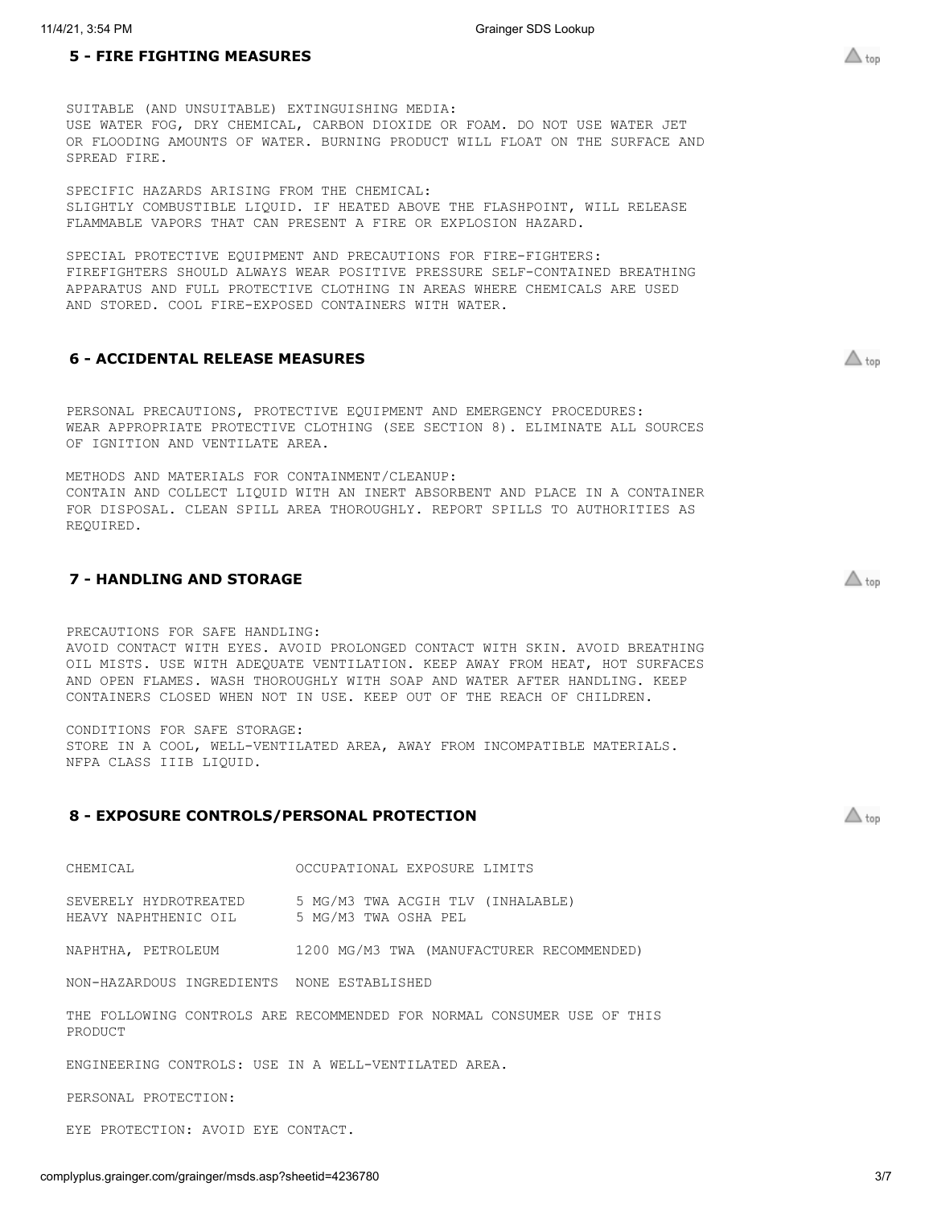<span id="page-2-0"></span>SUITABLE (AND UNSUITABLE) EXTINGUISHING MEDIA: USE WATER FOG, DRY CHEMICAL, CARBON DIOXIDE OR FOAM. DO NOT USE WATER JET OR FLOODING AMOUNTS OF WATER. BURNING PRODUCT WILL FLOAT ON THE SURFACE AND SPREAD FIRE.

SPECIFIC HAZARDS ARISING FROM THE CHEMICAL: SLIGHTLY COMBUSTIBLE LIQUID. IF HEATED ABOVE THE FLASHPOINT, WILL RELEASE FLAMMABLE VAPORS THAT CAN PRESENT A FIRE OR EXPLOSION HAZARD.

SPECIAL PROTECTIVE EQUIPMENT AND PRECAUTIONS FOR FIRE-FIGHTERS: FIREFIGHTERS SHOULD ALWAYS WEAR POSITIVE PRESSURE SELF-CONTAINED BREATHING APPARATUS AND FULL PROTECTIVE CLOTHING IN AREAS WHERE CHEMICALS ARE USED AND STORED. COOL FIRE-EXPOSED CONTAINERS WITH WATER.

#### <span id="page-2-1"></span>**6 - ACCIDENTAL RELEASE MEASURES**

PERSONAL PRECAUTIONS, PROTECTIVE EQUIPMENT AND EMERGENCY PROCEDURES: WEAR APPROPRIATE PROTECTIVE CLOTHING (SEE SECTION 8). ELIMINATE ALL SOURCES OF IGNITION AND VENTILATE AREA.

METHODS AND MATERIALS FOR CONTAINMENT/CLEANUP: CONTAIN AND COLLECT LIQUID WITH AN INERT ABSORBENT AND PLACE IN A CONTAINER FOR DISPOSAL. CLEAN SPILL AREA THOROUGHLY. REPORT SPILLS TO AUTHORITIES AS REQUIRED.

# <span id="page-2-2"></span>**7 - HANDLING AND STORAGE**

PRECAUTIONS FOR SAFE HANDLING: AVOID CONTACT WITH EYES. AVOID PROLONGED CONTACT WITH SKIN. AVOID BREATHING OIL MISTS. USE WITH ADEQUATE VENTILATION. KEEP AWAY FROM HEAT, HOT SURFACES AND OPEN FLAMES. WASH THOROUGHLY WITH SOAP AND WATER AFTER HANDLING. KEEP CONTAINERS CLOSED WHEN NOT IN USE. KEEP OUT OF THE REACH OF CHILDREN.

CONDITIONS FOR SAFE STORAGE: STORE IN A COOL, WELL-VENTILATED AREA, AWAY FROM INCOMPATIBLE MATERIALS. NFPA CLASS IIIB LIQUID.

#### <span id="page-2-3"></span>**8 - EXPOSURE CONTROLS/PERSONAL PROTECTION**

| CHEMICAL | OCCUPATIONAL EXPOSURE LIMITS |  |  |
|----------|------------------------------|--|--|
|----------|------------------------------|--|--|

SEVERELY HYDROTREATED 5 MG/M3 TWA ACGIH TLV (INHALABLE) HEAVY NAPHTHENIC OIL 5 MG/M3 TWA OSHA PEL

NAPHTHA, PETROLEUM 1200 MG/M3 TWA (MANUFACTURER RECOMMENDED)

NON-HAZARDOUS INGREDIENTS NONE ESTABLISHED

THE FOLLOWING CONTROLS ARE RECOMMENDED FOR NORMAL CONSUMER USE OF THIS PRODUCT

ENGINEERING CONTROLS: USE IN A WELL-VENTILATED AREA.

PERSONAL PROTECTION:

EYE PROTECTION: AVOID EYE CONTACT.

 $\triangle$  top

 $\triangle$  top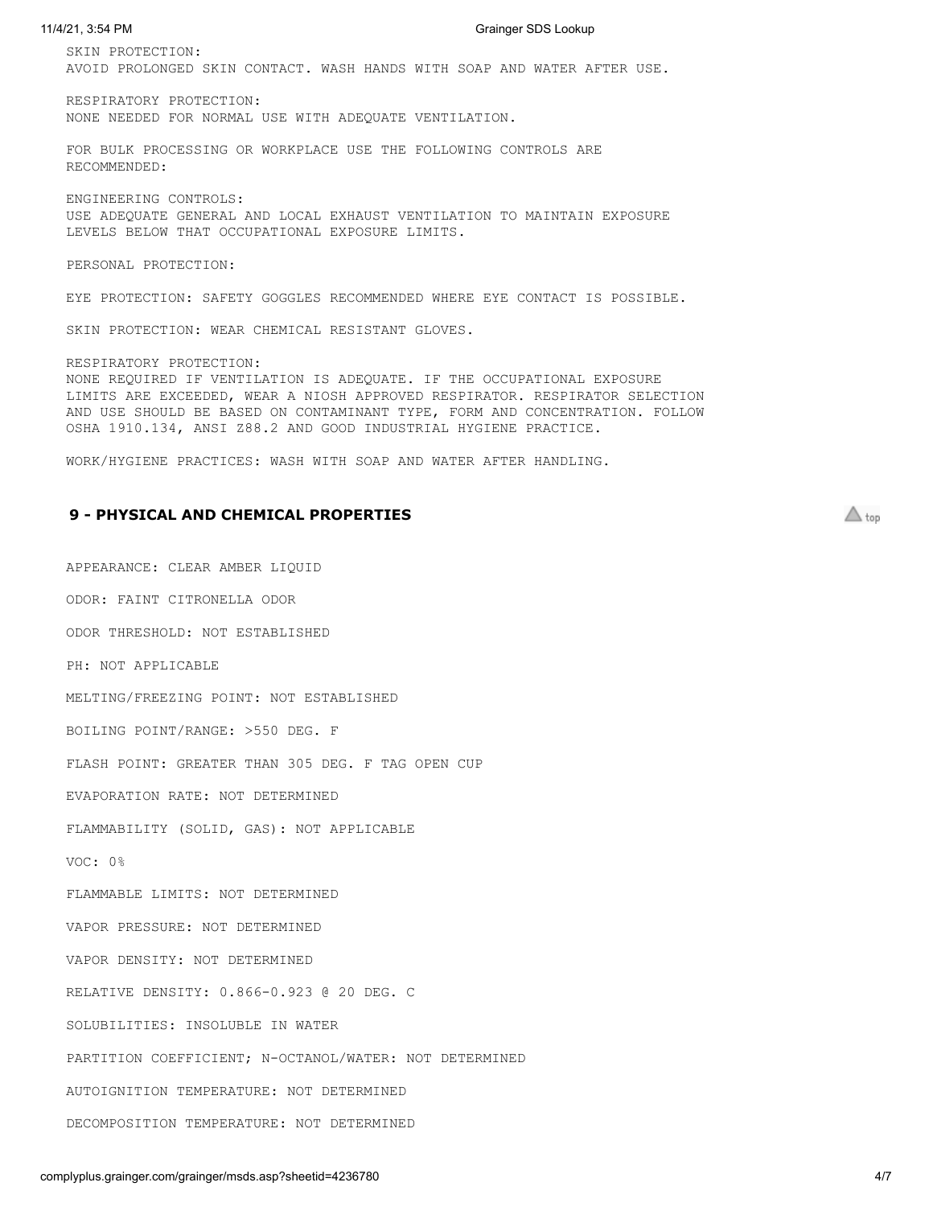SKIN PROTECTION: AVOID PROLONGED SKIN CONTACT. WASH HANDS WITH SOAP AND WATER AFTER USE.

RESPIRATORY PROTECTION: NONE NEEDED FOR NORMAL USE WITH ADEQUATE VENTILATION.

FOR BULK PROCESSING OR WORKPLACE USE THE FOLLOWING CONTROLS ARE RECOMMENDED:

ENGINEERING CONTROLS: USE ADEQUATE GENERAL AND LOCAL EXHAUST VENTILATION TO MAINTAIN EXPOSURE LEVELS BELOW THAT OCCUPATIONAL EXPOSURE LIMITS.

PERSONAL PROTECTION:

EYE PROTECTION: SAFETY GOGGLES RECOMMENDED WHERE EYE CONTACT IS POSSIBLE.

SKIN PROTECTION: WEAR CHEMICAL RESISTANT GLOVES.

RESPIRATORY PROTECTION: NONE REQUIRED IF VENTILATION IS ADEQUATE. IF THE OCCUPATIONAL EXPOSURE LIMITS ARE EXCEEDED, WEAR A NIOSH APPROVED RESPIRATOR. RESPIRATOR SELECTION AND USE SHOULD BE BASED ON CONTAMINANT TYPE, FORM AND CONCENTRATION. FOLLOW OSHA 1910.134, ANSI Z88.2 AND GOOD INDUSTRIAL HYGIENE PRACTICE.

WORK/HYGIENE PRACTICES: WASH WITH SOAP AND WATER AFTER HANDLING.

#### <span id="page-3-0"></span>**9 - PHYSICAL AND CHEMICAL PROPERTIES**

APPEARANCE: CLEAR AMBER LIQUID ODOR: FAINT CITRONELLA ODOR ODOR THRESHOLD: NOT ESTABLISHED PH: NOT APPLICABLE MELTING/FREEZING POINT: NOT ESTABLISHED BOILING POINT/RANGE: >550 DEG. F FLASH POINT: GREATER THAN 305 DEG. F TAG OPEN CUP EVAPORATION RATE: NOT DETERMINED FLAMMABILITY (SOLID, GAS): NOT APPLICABLE VOC: 0% FLAMMABLE LIMITS: NOT DETERMINED VAPOR PRESSURE: NOT DETERMINED VAPOR DENSITY: NOT DETERMINED RELATIVE DENSITY: 0.866-0.923 @ 20 DEG. C SOLUBILITIES: INSOLUBLE IN WATER PARTITION COEFFICIENT; N-OCTANOL/WATER: NOT DETERMINED AUTOIGNITION TEMPERATURE: NOT DETERMINED DECOMPOSITION TEMPERATURE: NOT DETERMINED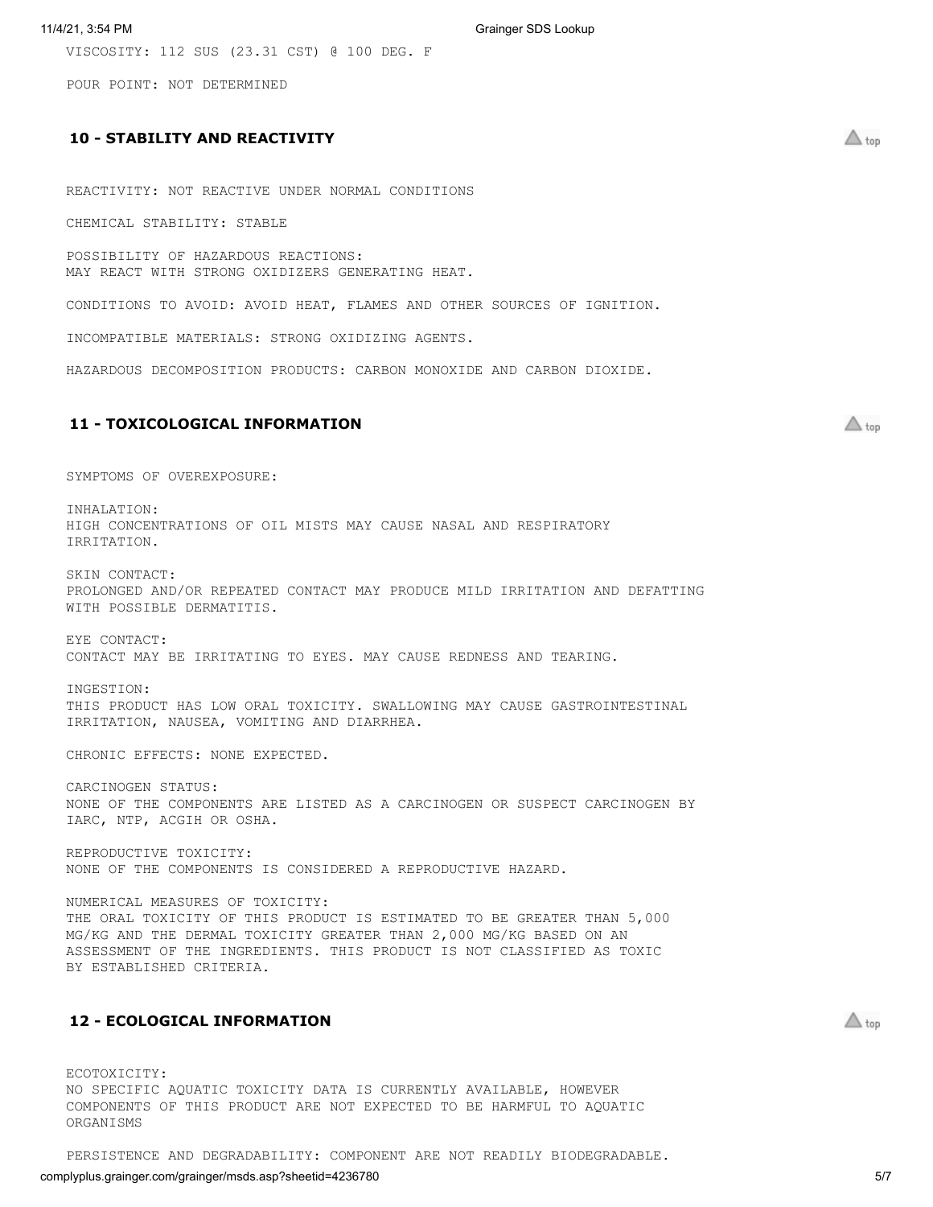VISCOSITY: 112 SUS (23.31 CST) @ 100 DEG. F

POUR POINT: NOT DETERMINED

# <span id="page-4-0"></span>**10 - STABILITY AND REACTIVITY**

REACTIVITY: NOT REACTIVE UNDER NORMAL CONDITIONS

CHEMICAL STABILITY: STABLE

POSSIBILITY OF HAZARDOUS REACTIONS: MAY REACT WITH STRONG OXIDIZERS GENERATING HEAT.

CONDITIONS TO AVOID: AVOID HEAT, FLAMES AND OTHER SOURCES OF IGNITION.

INCOMPATIBLE MATERIALS: STRONG OXIDIZING AGENTS.

HAZARDOUS DECOMPOSITION PRODUCTS: CARBON MONOXIDE AND CARBON DIOXIDE.

# <span id="page-4-1"></span>**11 - TOXICOLOGICAL INFORMATION**

SYMPTOMS OF OVEREXPOSURE:

INHALATION: HIGH CONCENTRATIONS OF OIL MISTS MAY CAUSE NASAL AND RESPIRATORY IRRITATION.

SKIN CONTACT: PROLONGED AND/OR REPEATED CONTACT MAY PRODUCE MILD IRRITATION AND DEFATTING WITH POSSIBLE DERMATITIS.

EYE CONTACT: CONTACT MAY BE IRRITATING TO EYES. MAY CAUSE REDNESS AND TEARING.

INGESTION: THIS PRODUCT HAS LOW ORAL TOXICITY. SWALLOWING MAY CAUSE GASTROINTESTINAL IRRITATION, NAUSEA, VOMITING AND DIARRHEA.

CHRONIC EFFECTS: NONE EXPECTED.

CARCINOGEN STATUS: NONE OF THE COMPONENTS ARE LISTED AS A CARCINOGEN OR SUSPECT CARCINOGEN BY IARC, NTP, ACGIH OR OSHA.

REPRODUCTIVE TOXICITY: NONE OF THE COMPONENTS IS CONSIDERED A REPRODUCTIVE HAZARD.

NUMERICAL MEASURES OF TOXICITY: THE ORAL TOXICITY OF THIS PRODUCT IS ESTIMATED TO BE GREATER THAN 5,000 MG/KG AND THE DERMAL TOXICITY GREATER THAN 2,000 MG/KG BASED ON AN ASSESSMENT OF THE INGREDIENTS. THIS PRODUCT IS NOT CLASSIFIED AS TOXIC BY ESTABLISHED CRITERIA.

### <span id="page-4-2"></span>**12 - ECOLOGICAL INFORMATION**

ECOTOXICITY: NO SPECIFIC AQUATIC TOXICITY DATA IS CURRENTLY AVAILABLE, HOWEVER COMPONENTS OF THIS PRODUCT ARE NOT EXPECTED TO BE HARMFUL TO AQUATIC ORGANISMS

PERSISTENCE AND DEGRADABILITY: COMPONENT ARE NOT READILY BIODEGRADABLE.

# complyplus.grainger.com/grainger/msds.asp?sheetid=4236780 5/7

 $\triangle$  top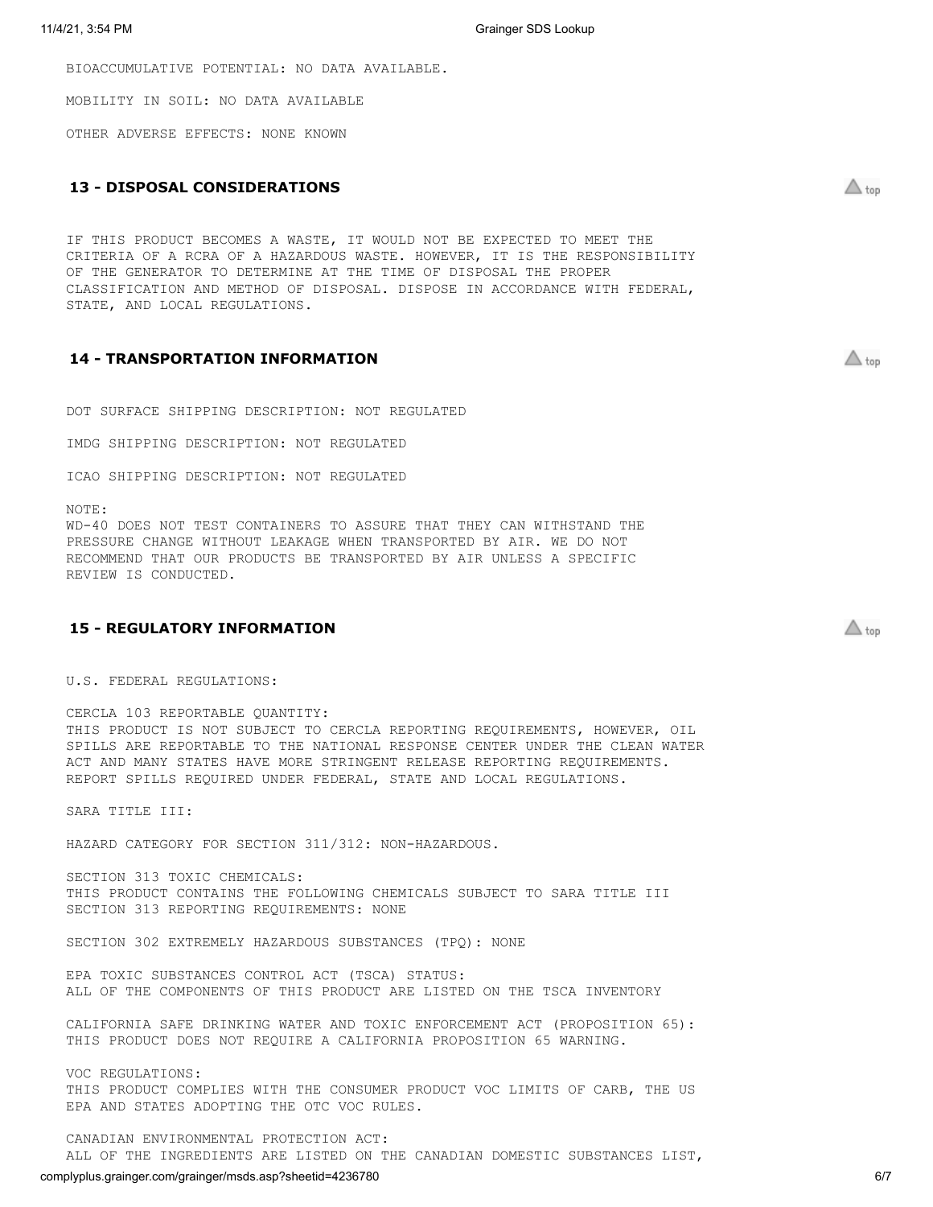BIOACCUMULATIVE POTENTIAL: NO DATA AVAILABLE.

MOBILITY IN SOIL: NO DATA AVAILABLE

OTHER ADVERSE EFFECTS: NONE KNOWN

# <span id="page-5-0"></span>**13 - DISPOSAL CONSIDERATIONS**

IF THIS PRODUCT BECOMES A WASTE, IT WOULD NOT BE EXPECTED TO MEET THE CRITERIA OF A RCRA OF A HAZARDOUS WASTE. HOWEVER, IT IS THE RESPONSIBILITY OF THE GENERATOR TO DETERMINE AT THE TIME OF DISPOSAL THE PROPER CLASSIFICATION AND METHOD OF DISPOSAL. DISPOSE IN ACCORDANCE WITH FEDERAL, STATE, AND LOCAL REGULATIONS.

#### <span id="page-5-1"></span>**14 - TRANSPORTATION INFORMATION**

DOT SURFACE SHIPPING DESCRIPTION: NOT REGULATED

IMDG SHIPPING DESCRIPTION: NOT REGULATED

ICAO SHIPPING DESCRIPTION: NOT REGULATED

NOTE:

WD-40 DOES NOT TEST CONTAINERS TO ASSURE THAT THEY CAN WITHSTAND THE PRESSURE CHANGE WITHOUT LEAKAGE WHEN TRANSPORTED BY AIR. WE DO NOT RECOMMEND THAT OUR PRODUCTS BE TRANSPORTED BY AIR UNLESS A SPECIFIC REVIEW IS CONDUCTED.

### <span id="page-5-2"></span>**15 - REGULATORY INFORMATION**

U.S. FEDERAL REGULATIONS:

CERCLA 103 REPORTABLE QUANTITY: THIS PRODUCT IS NOT SUBJECT TO CERCLA REPORTING REQUIREMENTS, HOWEVER, OIL SPILLS ARE REPORTABLE TO THE NATIONAL RESPONSE CENTER UNDER THE CLEAN WATER ACT AND MANY STATES HAVE MORE STRINGENT RELEASE REPORTING REQUIREMENTS. REPORT SPILLS REQUIRED UNDER FEDERAL, STATE AND LOCAL REGULATIONS.

SARA TITLE III:

VOC REGULATIONS:

HAZARD CATEGORY FOR SECTION 311/312: NON-HAZARDOUS.

SECTION 313 TOXIC CHEMICALS: THIS PRODUCT CONTAINS THE FOLLOWING CHEMICALS SUBJECT TO SARA TITLE III SECTION 313 REPORTING REQUIREMENTS: NONE

EPA TOXIC SUBSTANCES CONTROL ACT (TSCA) STATUS:

EPA AND STATES ADOPTING THE OTC VOC RULES.

SECTION 302 EXTREMELY HAZARDOUS SUBSTANCES (TPQ): NONE

ALL OF THE COMPONENTS OF THIS PRODUCT ARE LISTED ON THE TSCA INVENTORY

THIS PRODUCT DOES NOT REQUIRE A CALIFORNIA PROPOSITION 65 WARNING.

CALIFORNIA SAFE DRINKING WATER AND TOXIC ENFORCEMENT ACT (PROPOSITION 65):

THIS PRODUCT COMPLIES WITH THE CONSUMER PRODUCT VOC LIMITS OF CARB, THE US

 $\triangle$  top

 $\triangle$  top

 $\triangle$  top

CANADIAN ENVIRONMENTAL PROTECTION ACT: ALL OF THE INGREDIENTS ARE LISTED ON THE CANADIAN DOMESTIC SUBSTANCES LIST,